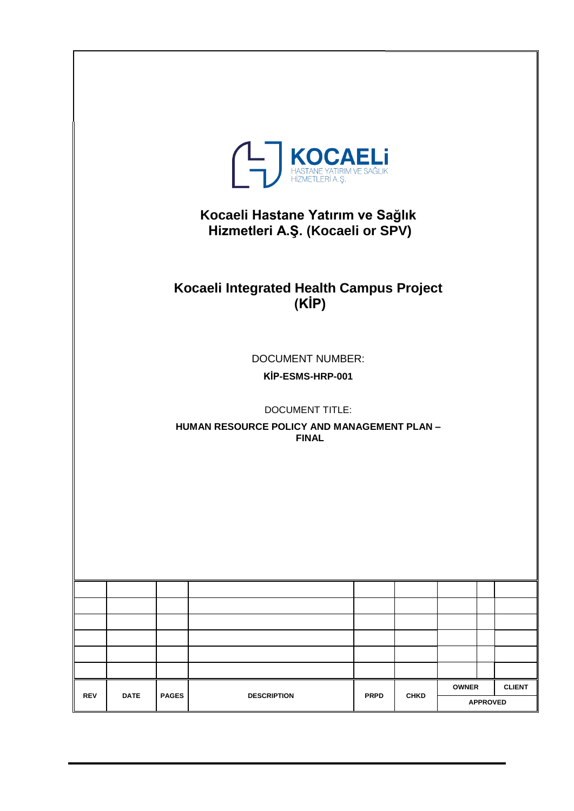| <b>THASTANE YATIRIM VE SAĞLIK</b><br>HEZMETLERÎ A. Ş.<br>Kocaeli Hastane Yatırım ve Sağlık<br>Hizmetleri A.Ş. (Kocaeli or SPV)<br>Kocaeli Integrated Health Campus Project<br>(KIP)<br><b>DOCUMENT NUMBER:</b><br>KİP-ESMS-HRP-001 |                                                                                       |              |                    |             |             |              |                 |               |
|------------------------------------------------------------------------------------------------------------------------------------------------------------------------------------------------------------------------------------|---------------------------------------------------------------------------------------|--------------|--------------------|-------------|-------------|--------------|-----------------|---------------|
|                                                                                                                                                                                                                                    | <b>DOCUMENT TITLE:</b><br>HUMAN RESOURCE POLICY AND MANAGEMENT PLAN -<br><b>FINAL</b> |              |                    |             |             |              |                 |               |
|                                                                                                                                                                                                                                    |                                                                                       |              |                    |             |             |              |                 |               |
| <b>REV</b>                                                                                                                                                                                                                         | <b>DATE</b>                                                                           | <b>PAGES</b> | <b>DESCRIPTION</b> | <b>PRPD</b> | <b>CHKD</b> | <b>OWNER</b> | <b>APPROVED</b> | <b>CLIENT</b> |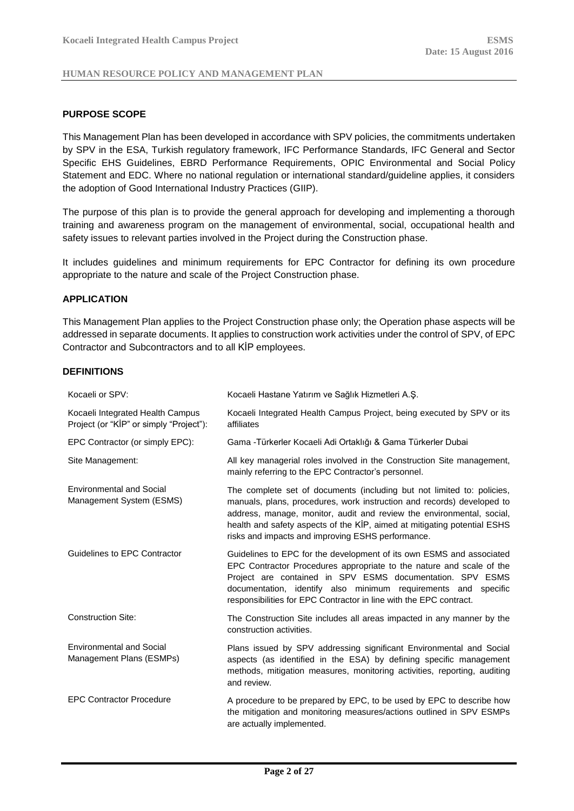#### <span id="page-1-0"></span>**PURPOSE SCOPE**

This Management Plan has been developed in accordance with SPV policies, the commitments undertaken by SPV in the ESA, Turkish regulatory framework, IFC Performance Standards, IFC General and Sector Specific EHS Guidelines, EBRD Performance Requirements, OPIC Environmental and Social Policy Statement and EDC. Where no national regulation or international standard/guideline applies, it considers the adoption of Good International Industry Practices (GIIP).

The purpose of this plan is to provide the general approach for developing and implementing a thorough training and awareness program on the management of environmental, social, occupational health and safety issues to relevant parties involved in the Project during the Construction phase.

It includes guidelines and minimum requirements for EPC Contractor for defining its own procedure appropriate to the nature and scale of the Project Construction phase.

#### <span id="page-1-1"></span>**APPLICATION**

This Management Plan applies to the Project Construction phase only; the Operation phase aspects will be addressed in separate documents. It applies to construction work activities under the control of SPV, of EPC Contractor and Subcontractors and to all KİP employees.

#### <span id="page-1-2"></span>**DEFINITIONS**

| Kocaeli or SPV:                                                             | Kocaeli Hastane Yatırım ve Sağlık Hizmetleri A.Ş.                                                                                                                                                                                                                                                                                                          |
|-----------------------------------------------------------------------------|------------------------------------------------------------------------------------------------------------------------------------------------------------------------------------------------------------------------------------------------------------------------------------------------------------------------------------------------------------|
| Kocaeli Integrated Health Campus<br>Project (or "KİP" or simply "Project"): | Kocaeli Integrated Health Campus Project, being executed by SPV or its<br>affiliates                                                                                                                                                                                                                                                                       |
| EPC Contractor (or simply EPC):                                             | Gama - Türkerler Kocaeli Adi Ortaklığı & Gama Türkerler Dubai                                                                                                                                                                                                                                                                                              |
| Site Management:                                                            | All key managerial roles involved in the Construction Site management,<br>mainly referring to the EPC Contractor's personnel.                                                                                                                                                                                                                              |
| <b>Environmental and Social</b><br>Management System (ESMS)                 | The complete set of documents (including but not limited to: policies,<br>manuals, plans, procedures, work instruction and records) developed to<br>address, manage, monitor, audit and review the environmental, social,<br>health and safety aspects of the KİP, aimed at mitigating potential ESHS<br>risks and impacts and improving ESHS performance. |
| Guidelines to EPC Contractor                                                | Guidelines to EPC for the development of its own ESMS and associated<br>EPC Contractor Procedures appropriate to the nature and scale of the<br>Project are contained in SPV ESMS documentation. SPV ESMS<br>documentation, identify also minimum requirements and specific<br>responsibilities for EPC Contractor in line with the EPC contract.          |
| <b>Construction Site:</b>                                                   | The Construction Site includes all areas impacted in any manner by the<br>construction activities.                                                                                                                                                                                                                                                         |
| <b>Environmental and Social</b><br>Management Plans (ESMPs)                 | Plans issued by SPV addressing significant Environmental and Social<br>aspects (as identified in the ESA) by defining specific management<br>methods, mitigation measures, monitoring activities, reporting, auditing<br>and review.                                                                                                                       |
| <b>EPC Contractor Procedure</b>                                             | A procedure to be prepared by EPC, to be used by EPC to describe how<br>the mitigation and monitoring measures/actions outlined in SPV ESMPs<br>are actually implemented.                                                                                                                                                                                  |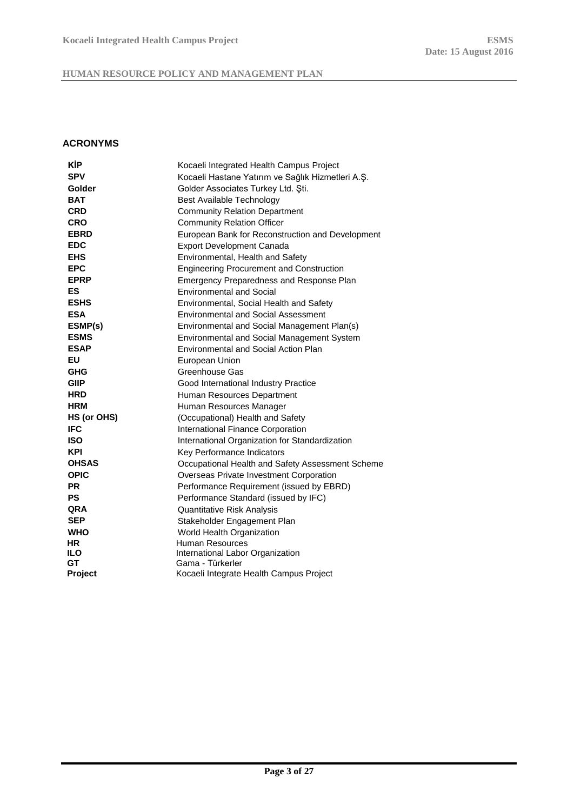## <span id="page-2-0"></span>**ACRONYMS**

| <b>KIP</b>   | Kocaeli Integrated Health Campus Project          |
|--------------|---------------------------------------------------|
| <b>SPV</b>   | Kocaeli Hastane Yatırım ve Sağlık Hizmetleri A.Ş. |
| Golder       | Golder Associates Turkey Ltd. Sti.                |
| <b>BAT</b>   | Best Available Technology                         |
| <b>CRD</b>   | <b>Community Relation Department</b>              |
| <b>CRO</b>   | <b>Community Relation Officer</b>                 |
| <b>EBRD</b>  | European Bank for Reconstruction and Development  |
| <b>EDC</b>   | <b>Export Development Canada</b>                  |
| <b>EHS</b>   | Environmental, Health and Safety                  |
| <b>EPC</b>   | <b>Engineering Procurement and Construction</b>   |
| <b>EPRP</b>  | Emergency Preparedness and Response Plan          |
| ES           | <b>Environmental and Social</b>                   |
| <b>ESHS</b>  | Environmental, Social Health and Safety           |
| <b>ESA</b>   | <b>Environmental and Social Assessment</b>        |
| ESMP(s)      | Environmental and Social Management Plan(s)       |
| <b>ESMS</b>  | Environmental and Social Management System        |
| <b>ESAP</b>  | Environmental and Social Action Plan              |
| EU           | European Union                                    |
| <b>GHG</b>   | Greenhouse Gas                                    |
| <b>GIIP</b>  | Good International Industry Practice              |
| <b>HRD</b>   | Human Resources Department                        |
| <b>HRM</b>   | Human Resources Manager                           |
| HS (or OHS)  | (Occupational) Health and Safety                  |
| <b>IFC</b>   | International Finance Corporation                 |
| <b>ISO</b>   | International Organization for Standardization    |
| <b>KPI</b>   | Key Performance Indicators                        |
| <b>OHSAS</b> | Occupational Health and Safety Assessment Scheme  |
| <b>OPIC</b>  | Overseas Private Investment Corporation           |
| <b>PR</b>    | Performance Requirement (issued by EBRD)          |
| <b>PS</b>    | Performance Standard (issued by IFC)              |
| <b>QRA</b>   | Quantitative Risk Analysis                        |
| <b>SEP</b>   | Stakeholder Engagement Plan                       |
| <b>WHO</b>   | World Health Organization                         |
| HR.          | <b>Human Resources</b>                            |
| <b>ILO</b>   | International Labor Organization                  |
| GT           | Gama - Türkerler                                  |
| Project      | Kocaeli Integrate Health Campus Project           |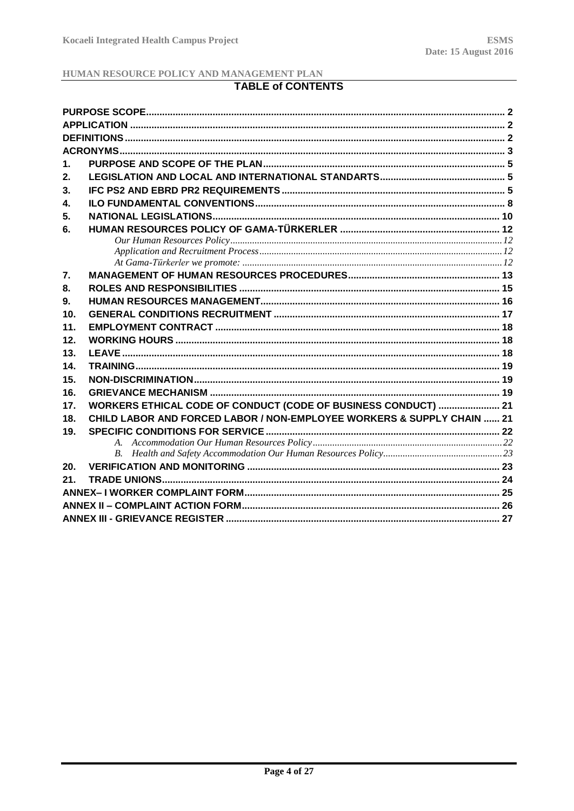# **TABLE of CONTENTS**

| 1.              |                                                                        |  |  |  |
|-----------------|------------------------------------------------------------------------|--|--|--|
| 2.              |                                                                        |  |  |  |
| 3.              |                                                                        |  |  |  |
| 4.              |                                                                        |  |  |  |
| 5.              |                                                                        |  |  |  |
| 6.              |                                                                        |  |  |  |
|                 |                                                                        |  |  |  |
|                 |                                                                        |  |  |  |
|                 |                                                                        |  |  |  |
| 7.              |                                                                        |  |  |  |
| 8.              |                                                                        |  |  |  |
| 9.              |                                                                        |  |  |  |
| 10 <sub>1</sub> |                                                                        |  |  |  |
| 11.             |                                                                        |  |  |  |
| 12.             |                                                                        |  |  |  |
| 13.             |                                                                        |  |  |  |
| 14.             |                                                                        |  |  |  |
| 15.             |                                                                        |  |  |  |
| 16.             |                                                                        |  |  |  |
| 17.             | WORKERS ETHICAL CODE OF CONDUCT (CODE OF BUSINESS CONDUCT)  21         |  |  |  |
| 18.             | CHILD LABOR AND FORCED LABOR / NON-EMPLOYEE WORKERS & SUPPLY CHAIN  21 |  |  |  |
| 19.             |                                                                        |  |  |  |
|                 |                                                                        |  |  |  |
|                 |                                                                        |  |  |  |
| 20.             |                                                                        |  |  |  |
| 21.             |                                                                        |  |  |  |
|                 |                                                                        |  |  |  |
|                 |                                                                        |  |  |  |
|                 |                                                                        |  |  |  |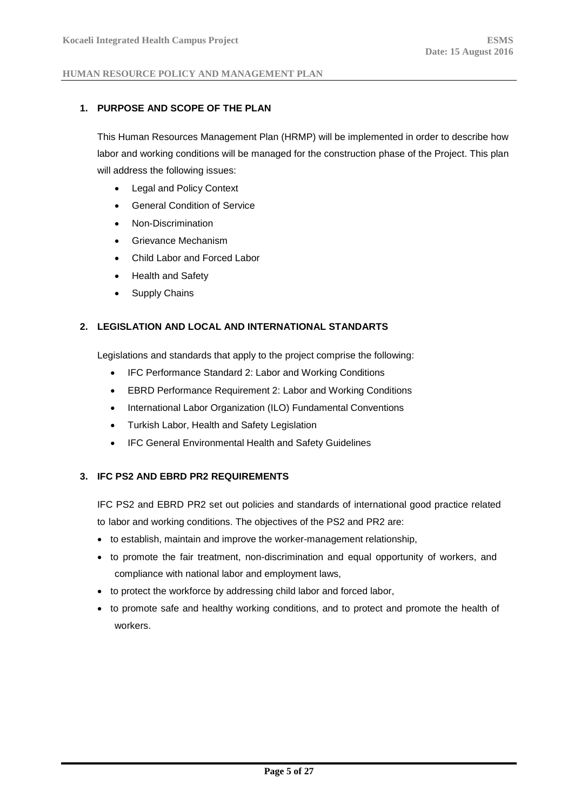### <span id="page-4-0"></span>**1. PURPOSE AND SCOPE OF THE PLAN**

This Human Resources Management Plan (HRMP) will be implemented in order to describe how labor and working conditions will be managed for the construction phase of the Project. This plan will address the following issues:

- Legal and Policy Context
- General Condition of Service
- Non-Discrimination
- Grievance Mechanism
- Child Labor and Forced Labor
- Health and Safety
- Supply Chains

### <span id="page-4-1"></span>**2. LEGISLATION AND LOCAL AND INTERNATIONAL STANDARTS**

Legislations and standards that apply to the project comprise the following:

- IFC Performance Standard 2: Labor and Working Conditions
- EBRD Performance Requirement 2: Labor and Working Conditions
- International Labor Organization (ILO) Fundamental Conventions
- Turkish Labor, Health and Safety Legislation
- IFC General Environmental Health and Safety Guidelines

### <span id="page-4-2"></span>**3. IFC PS2 AND EBRD PR2 REQUIREMENTS**

IFC PS2 and EBRD PR2 set out policies and standards of international good practice related to labor and working conditions. The objectives of the PS2 and PR2 are:

- to establish, maintain and improve the worker-management relationship,
- to promote the fair treatment, non-discrimination and equal opportunity of workers, and compliance with national labor and employment laws,
- to protect the workforce by addressing child labor and forced labor,
- to promote safe and healthy working conditions, and to protect and promote the health of workers.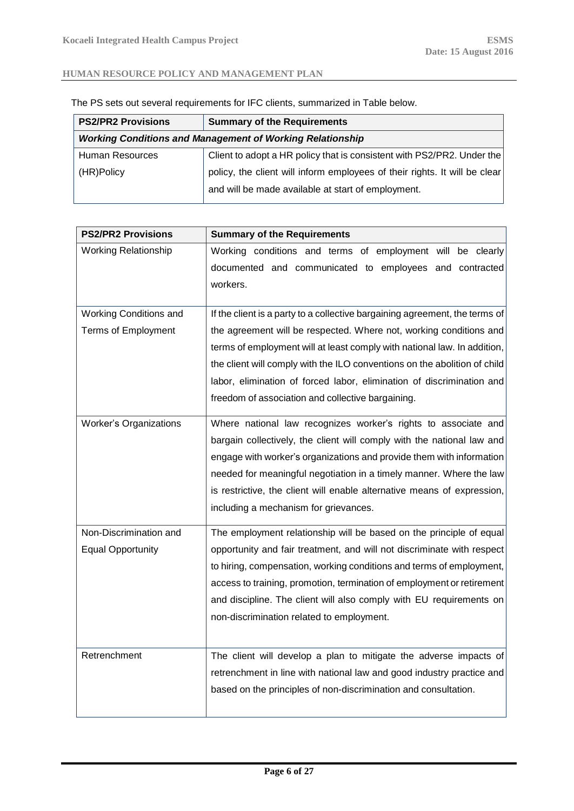| <b>Summary of the Requirements</b>                                         |  |  |
|----------------------------------------------------------------------------|--|--|
| <b>Working Conditions and Management of Working Relationship</b>           |  |  |
| Client to adopt a HR policy that is consistent with PS2/PR2. Under the     |  |  |
| policy, the client will inform employees of their rights. It will be clear |  |  |
| and will be made available at start of employment.                         |  |  |
|                                                                            |  |  |

The PS sets out several requirements for IFC clients, summarized in Table below.

| <b>PS2/PR2 Provisions</b>   | <b>Summary of the Requirements</b>                                          |
|-----------------------------|-----------------------------------------------------------------------------|
| <b>Working Relationship</b> | Working conditions and terms of employment will be clearly                  |
|                             | documented and communicated to employees and contracted                     |
|                             | workers.                                                                    |
|                             |                                                                             |
| Working Conditions and      | If the client is a party to a collective bargaining agreement, the terms of |
| <b>Terms of Employment</b>  | the agreement will be respected. Where not, working conditions and          |
|                             | terms of employment will at least comply with national law. In addition,    |
|                             | the client will comply with the ILO conventions on the abolition of child   |
|                             | labor, elimination of forced labor, elimination of discrimination and       |
|                             | freedom of association and collective bargaining.                           |
| Worker's Organizations      | Where national law recognizes worker's rights to associate and              |
|                             | bargain collectively, the client will comply with the national law and      |
|                             | engage with worker's organizations and provide them with information        |
|                             | needed for meaningful negotiation in a timely manner. Where the law         |
|                             | is restrictive, the client will enable alternative means of expression,     |
|                             | including a mechanism for grievances.                                       |
| Non-Discrimination and      | The employment relationship will be based on the principle of equal         |
| <b>Equal Opportunity</b>    | opportunity and fair treatment, and will not discriminate with respect      |
|                             | to hiring, compensation, working conditions and terms of employment,        |
|                             | access to training, promotion, termination of employment or retirement      |
|                             | and discipline. The client will also comply with EU requirements on         |
|                             | non-discrimination related to employment.                                   |
|                             |                                                                             |
| Retrenchment                | The client will develop a plan to mitigate the adverse impacts of           |
|                             | retrenchment in line with national law and good industry practice and       |
|                             | based on the principles of non-discrimination and consultation.             |
|                             |                                                                             |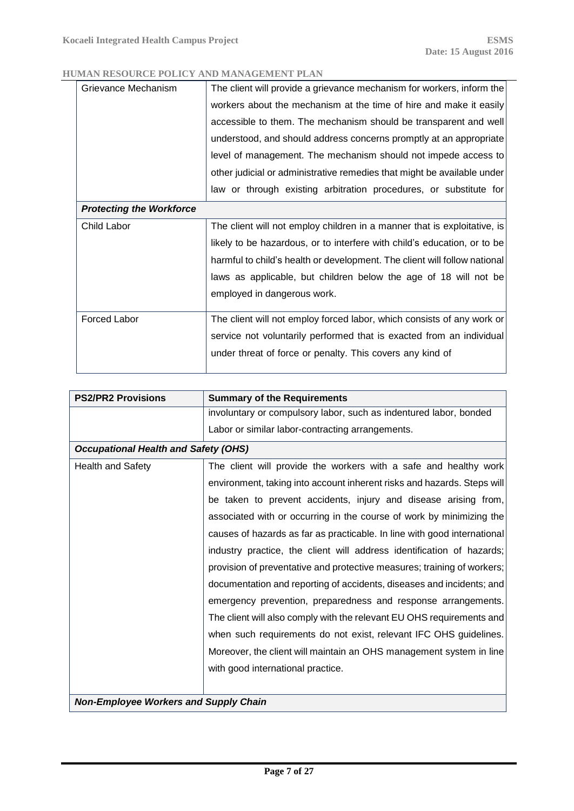| Grievance Mechanism             | The client will provide a grievance mechanism for workers, inform the     |  |
|---------------------------------|---------------------------------------------------------------------------|--|
|                                 | workers about the mechanism at the time of hire and make it easily        |  |
|                                 | accessible to them. The mechanism should be transparent and well          |  |
|                                 | understood, and should address concerns promptly at an appropriate        |  |
|                                 | level of management. The mechanism should not impede access to            |  |
|                                 | other judicial or administrative remedies that might be available under   |  |
|                                 | law or through existing arbitration procedures, or substitute for         |  |
| <b>Protecting the Workforce</b> |                                                                           |  |
| Child Labor                     | The client will not employ children in a manner that is exploitative, is  |  |
|                                 | likely to be hazardous, or to interfere with child's education, or to be  |  |
|                                 | harmful to child's health or development. The client will follow national |  |
|                                 | laws as applicable, but children below the age of 18 will not be          |  |
|                                 | employed in dangerous work.                                               |  |
|                                 |                                                                           |  |
| Forced Labor                    | The client will not employ forced labor, which consists of any work or    |  |
|                                 | service not voluntarily performed that is exacted from an individual      |  |
|                                 | under threat of force or penalty. This covers any kind of                 |  |
|                                 |                                                                           |  |

| <b>PS2/PR2 Provisions</b>                    | <b>Summary of the Requirements</b>                                       |  |
|----------------------------------------------|--------------------------------------------------------------------------|--|
|                                              | involuntary or compulsory labor, such as indentured labor, bonded        |  |
|                                              | Labor or similar labor-contracting arrangements.                         |  |
| <b>Occupational Health and Safety (OHS)</b>  |                                                                          |  |
| <b>Health and Safety</b>                     | The client will provide the workers with a safe and healthy work         |  |
|                                              | environment, taking into account inherent risks and hazards. Steps will  |  |
|                                              | be taken to prevent accidents, injury and disease arising from,          |  |
|                                              | associated with or occurring in the course of work by minimizing the     |  |
|                                              | causes of hazards as far as practicable. In line with good international |  |
|                                              | industry practice, the client will address identification of hazards;    |  |
|                                              | provision of preventative and protective measures; training of workers;  |  |
|                                              | documentation and reporting of accidents, diseases and incidents; and    |  |
|                                              | emergency prevention, preparedness and response arrangements.            |  |
|                                              | The client will also comply with the relevant EU OHS requirements and    |  |
|                                              | when such requirements do not exist, relevant IFC OHS guidelines.        |  |
|                                              | Moreover, the client will maintain an OHS management system in line      |  |
|                                              | with good international practice.                                        |  |
|                                              |                                                                          |  |
| <b>Non-Employee Workers and Supply Chain</b> |                                                                          |  |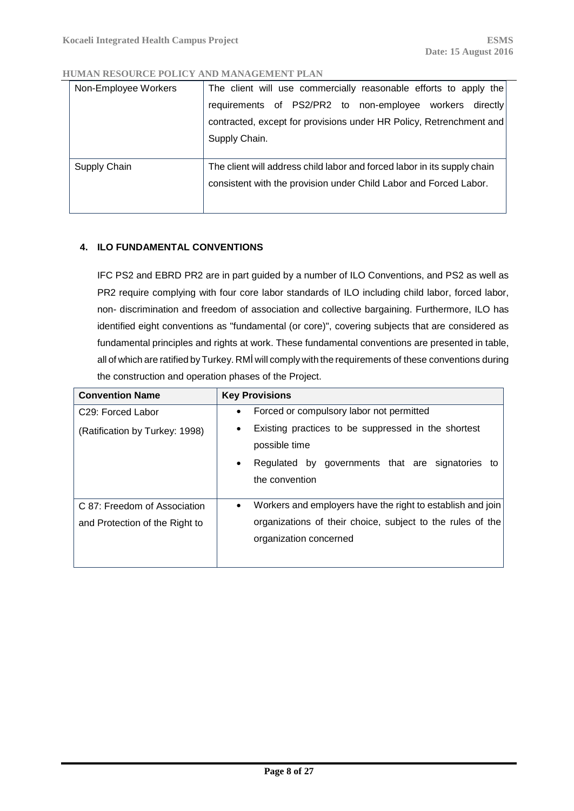| Non-Employee Workers | The client will use commercially reasonable efforts to apply the         |
|----------------------|--------------------------------------------------------------------------|
|                      | requirements of PS2/PR2 to non-employee workers<br>directly!             |
|                      | contracted, except for provisions under HR Policy, Retrenchment and      |
|                      | Supply Chain.                                                            |
| Supply Chain         | The client will address child labor and forced labor in its supply chain |
|                      | consistent with the provision under Child Labor and Forced Labor.        |
|                      |                                                                          |

### <span id="page-7-0"></span>**4. ILO FUNDAMENTAL CONVENTIONS**

IFC PS2 and EBRD PR2 are in part guided by a number of ILO Conventions, and PS2 as well as PR2 require complying with four core labor standards of ILO including child labor, forced labor, non- discrimination and freedom of association and collective bargaining. Furthermore, ILO has identified eight conventions as "fundamental (or core)", covering subjects that are considered as fundamental principles and rights at work. These fundamental conventions are presented in table, all of which are ratified by Turkey. RMİ will comply with the requirements of these conventions during the construction and operation phases of the Project.

| <b>Convention Name</b>                                         | <b>Key Provisions</b>                                                                                                                                           |
|----------------------------------------------------------------|-----------------------------------------------------------------------------------------------------------------------------------------------------------------|
| C <sub>29</sub> : Forced Labor                                 | Forced or compulsory labor not permitted<br>$\bullet$                                                                                                           |
| (Ratification by Turkey: 1998)                                 | Existing practices to be suppressed in the shortest<br>٠<br>possible time<br>Regulated by governments that are signatories to<br>$\bullet$<br>the convention    |
| C 87: Freedom of Association<br>and Protection of the Right to | Workers and employers have the right to establish and join<br>$\bullet$<br>organizations of their choice, subject to the rules of the<br>organization concerned |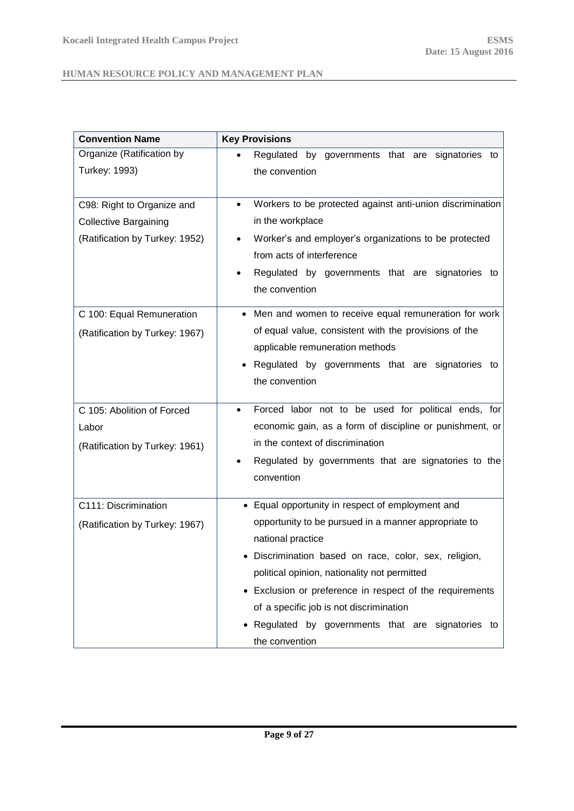| <b>Convention Name</b>         | <b>Key Provisions</b>                                                     |
|--------------------------------|---------------------------------------------------------------------------|
| Organize (Ratification by      | Regulated by governments that are signatories to                          |
| Turkey: 1993)                  | the convention                                                            |
| C98: Right to Organize and     | Workers to be protected against anti-union discrimination                 |
| <b>Collective Bargaining</b>   | in the workplace                                                          |
| (Ratification by Turkey: 1952) | Worker's and employer's organizations to be protected                     |
|                                | from acts of interference                                                 |
|                                | Regulated by governments that are signatories to                          |
|                                | the convention                                                            |
| C 100: Equal Remuneration      | Men and women to receive equal remuneration for work<br>٠                 |
| (Ratification by Turkey: 1967) | of equal value, consistent with the provisions of the                     |
|                                | applicable remuneration methods                                           |
|                                | Regulated by governments that are signatories to                          |
|                                | the convention                                                            |
| C 105: Abolition of Forced     | Forced labor not to be used for political ends, for<br>$\bullet$          |
| Labor                          | economic gain, as a form of discipline or punishment, or                  |
| (Ratification by Turkey: 1961) | in the context of discrimination                                          |
|                                | Regulated by governments that are signatories to the                      |
|                                | convention                                                                |
|                                |                                                                           |
| C111: Discrimination           | Equal opportunity in respect of employment and                            |
| (Ratification by Turkey: 1967) | opportunity to be pursued in a manner appropriate to<br>national practice |
|                                | · Discrimination based on race, color, sex, religion,                     |
|                                | political opinion, nationality not permitted                              |
|                                |                                                                           |
|                                | Exclusion or preference in respect of the requirements<br>$\bullet$       |
|                                | of a specific job is not discrimination                                   |
|                                | Regulated by governments that are signatories to                          |
|                                | the convention                                                            |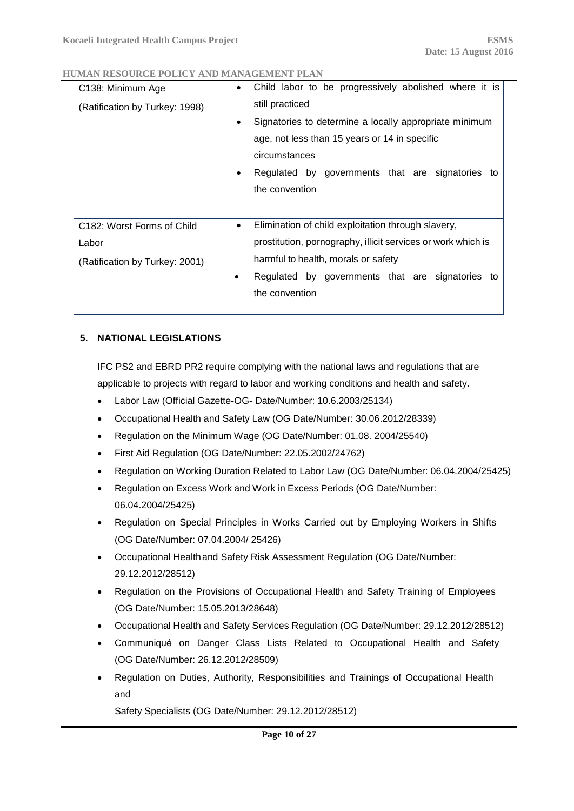| C138: Minimum Age<br>(Ratification by Turkey: 1998)                                | Child labor to be progressively abolished where it is<br>$\bullet$<br>still practiced<br>Signatories to determine a locally appropriate minimum<br>$\bullet$<br>age, not less than 15 years or 14 in specific<br>circumstances<br>Regulated by governments that are signatories to<br>$\bullet$<br>the convention |
|------------------------------------------------------------------------------------|-------------------------------------------------------------------------------------------------------------------------------------------------------------------------------------------------------------------------------------------------------------------------------------------------------------------|
| C <sub>182</sub> : Worst Forms of Child<br>Labor<br>(Ratification by Turkey: 2001) | Elimination of child exploitation through slavery,<br>$\bullet$<br>prostitution, pornography, illicit services or work which is<br>harmful to health, morals or safety<br>Regulated by governments that are signatories to<br>$\bullet$<br>the convention                                                         |

## <span id="page-9-0"></span>**5. NATIONAL LEGISLATIONS**

IFC PS2 and EBRD PR2 require complying with the national laws and regulations that are applicable to projects with regard to labor and working conditions and health and safety.

- Labor Law (Official Gazette-OG- Date/Number: 10.6.2003/25134)
- Occupational Health and Safety Law (OG Date/Number: 30.06.2012/28339)
- Regulation on the Minimum Wage (OG Date/Number: 01.08. 2004/25540)
- First Aid Regulation (OG Date/Number: 22.05.2002/24762)
- Regulation on Working Duration Related to Labor Law (OG Date/Number: 06.04.2004/25425)
- Regulation on Excess Work and Work in Excess Periods (OG Date/Number: 06.04.2004/25425)
- Regulation on Special Principles in Works Carried out by Employing Workers in Shifts (OG Date/Number: 07.04.2004/ 25426)
- Occupational Healthand Safety Risk Assessment Regulation (OG Date/Number: 29.12.2012/28512)
- Regulation on the Provisions of Occupational Health and Safety Training of Employees (OG Date/Number: 15.05.2013/28648)
- Occupational Health and Safety Services Regulation (OG Date/Number: 29.12.2012/28512)
- Communiqué on Danger Class Lists Related to Occupational Health and Safety (OG Date/Number: 26.12.2012/28509)
- Regulation on Duties, Authority, Responsibilities and Trainings of Occupational Health and

Safety Specialists (OG Date/Number: 29.12.2012/28512)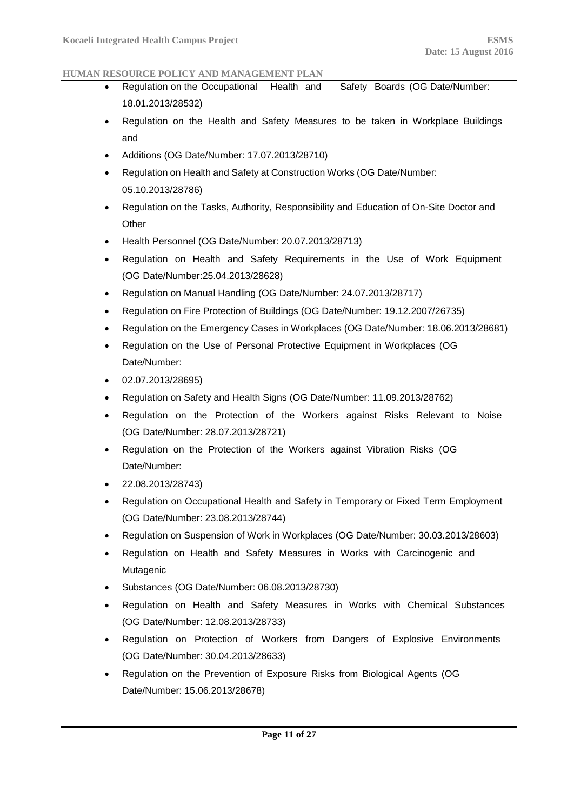- Regulation on the Occupational Health and Safety Boards (OG Date/Number: 18.01.2013/28532)
- Regulation on the Health and Safety Measures to be taken in Workplace Buildings and
- Additions (OG Date/Number: 17.07.2013/28710)
- Regulation on Health and Safety at Construction Works (OG Date/Number: 05.10.2013/28786)
- Regulation on the Tasks, Authority, Responsibility and Education of On-Site Doctor and **Other**
- Health Personnel (OG Date/Number: 20.07.2013/28713)
- Regulation on Health and Safety Requirements in the Use of Work Equipment (OG Date/Number:25.04.2013/28628)
- Regulation on Manual Handling (OG Date/Number: 24.07.2013/28717)
- Regulation on Fire Protection of Buildings (OG Date/Number: 19.12.2007/26735)
- Regulation on the Emergency Cases in Workplaces (OG Date/Number: 18.06.2013/28681)
- Regulation on the Use of Personal Protective Equipment in Workplaces (OG Date/Number:
- $\bullet$  02.07.2013/28695)
- Regulation on Safety and Health Signs (OG Date/Number: 11.09.2013/28762)
- Regulation on the Protection of the Workers against Risks Relevant to Noise (OG Date/Number: 28.07.2013/28721)
- Regulation on the Protection of the Workers against Vibration Risks (OG Date/Number:
- 22.08.2013/28743)
- Regulation on Occupational Health and Safety in Temporary or Fixed Term Employment (OG Date/Number: 23.08.2013/28744)
- Regulation on Suspension of Work in Workplaces (OG Date/Number: 30.03.2013/28603)
- Regulation on Health and Safety Measures in Works with Carcinogenic and Mutagenic
- Substances (OG Date/Number: 06.08.2013/28730)
- Regulation on Health and Safety Measures in Works with Chemical Substances (OG Date/Number: 12.08.2013/28733)
- Regulation on Protection of Workers from Dangers of Explosive Environments (OG Date/Number: 30.04.2013/28633)
- Regulation on the Prevention of Exposure Risks from Biological Agents (OG Date/Number: 15.06.2013/28678)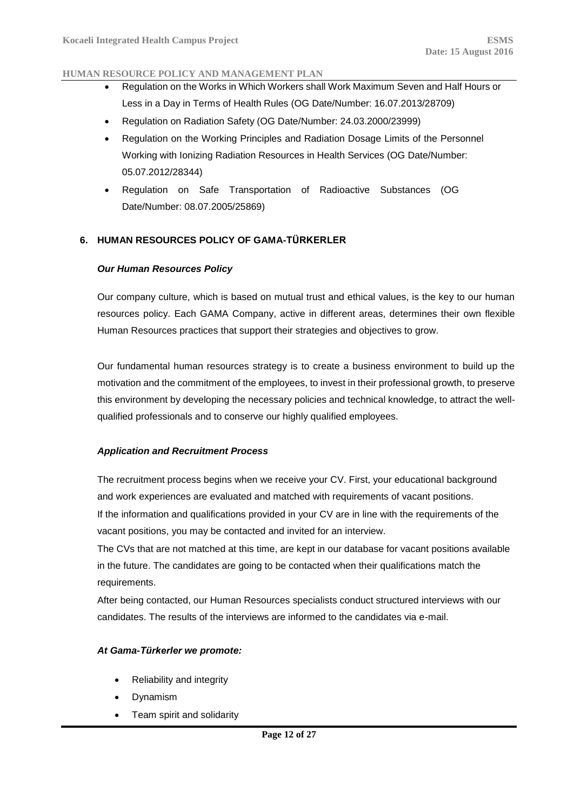- Regulation on the Works in Which Workers shall Work Maximum Seven and Half Hours or Less in a Day in Terms of Health Rules (OG Date/Number: 16.07.2013/28709)
- Regulation on Radiation Safety (OG Date/Number: 24.03.2000/23999)
- Regulation on the Working Principles and Radiation Dosage Limits of the Personnel Working with Ionizing Radiation Resources in Health Services (OG Date/Number: 05.07.2012/28344)
- Regulation on Safe Transportation of Radioactive Substances (OG Date/Number: 08.07.2005/25869)

## <span id="page-11-1"></span><span id="page-11-0"></span>**6. HUMAN RESOURCES POLICY OF GAMA-TÜRKERLER**

### *Our Human Resources Policy*

Our company culture, which is based on mutual trust and ethical values, is the key to our human resources policy. Each GAMA Company, active in different areas, determines their own flexible Human Resources practices that support their strategies and objectives to grow.

Our fundamental human resources strategy is to create a business environment to build up the motivation and the commitment of the employees, to invest in their professional growth, to preserve this environment by developing the necessary policies and technical knowledge, to attract the wellqualified professionals and to conserve our highly qualified employees.

## <span id="page-11-2"></span>*Application and Recruitment Process*

The recruitment process begins when we receive your CV. First, your educational background and work experiences are evaluated and matched with requirements of vacant positions. If the information and qualifications provided in your CV are in line with the requirements of the vacant positions, you may be contacted and invited for an interview.

The CVs that are not matched at this time, are kept in our database for vacant positions available in the future. The candidates are going to be contacted when their qualifications match the requirements.

After being contacted, our Human Resources specialists conduct structured interviews with our candidates. The results of the interviews are informed to the candidates via e-mail.

## <span id="page-11-3"></span>*At Gama-Türkerler we promote:*

- Reliability and integrity
- Dynamism
- Team spirit and solidarity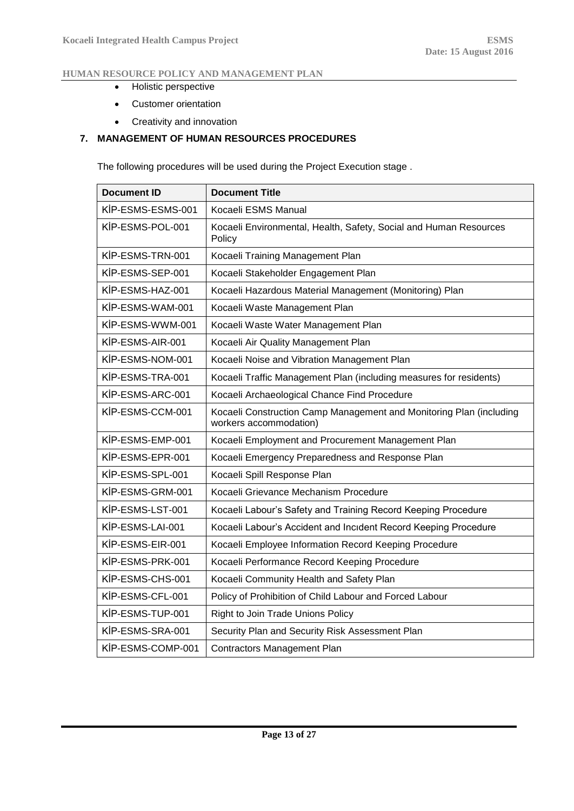- Holistic perspective
- Customer orientation
- Creativity and innovation

## <span id="page-12-0"></span>**7. MANAGEMENT OF HUMAN RESOURCES PROCEDURES**

The following procedures will be used during the Project Execution stage .

| <b>Document ID</b> | <b>Document Title</b>                                                                         |  |  |
|--------------------|-----------------------------------------------------------------------------------------------|--|--|
| KİP-ESMS-ESMS-001  | Kocaeli ESMS Manual                                                                           |  |  |
| KİP-ESMS-POL-001   | Kocaeli Environmental, Health, Safety, Social and Human Resources<br>Policy                   |  |  |
| KİP-ESMS-TRN-001   | Kocaeli Training Management Plan                                                              |  |  |
| KİP-ESMS-SEP-001   | Kocaeli Stakeholder Engagement Plan                                                           |  |  |
| KİP-ESMS-HAZ-001   | Kocaeli Hazardous Material Management (Monitoring) Plan                                       |  |  |
| KİP-ESMS-WAM-001   | Kocaeli Waste Management Plan                                                                 |  |  |
| KİP-ESMS-WWM-001   | Kocaeli Waste Water Management Plan                                                           |  |  |
| KİP-ESMS-AIR-001   | Kocaeli Air Quality Management Plan                                                           |  |  |
| KİP-ESMS-NOM-001   | Kocaeli Noise and Vibration Management Plan                                                   |  |  |
| KİP-ESMS-TRA-001   | Kocaeli Traffic Management Plan (including measures for residents)                            |  |  |
| KİP-ESMS-ARC-001   | Kocaeli Archaeological Chance Find Procedure                                                  |  |  |
| KİP-ESMS-CCM-001   | Kocaeli Construction Camp Management and Monitoring Plan (including<br>workers accommodation) |  |  |
| KİP-ESMS-EMP-001   | Kocaeli Employment and Procurement Management Plan                                            |  |  |
| KİP-ESMS-EPR-001   | Kocaeli Emergency Preparedness and Response Plan                                              |  |  |
| KİP-ESMS-SPL-001   | Kocaeli Spill Response Plan                                                                   |  |  |
| KİP-ESMS-GRM-001   | Kocaeli Grievance Mechanism Procedure                                                         |  |  |
| KİP-ESMS-LST-001   | Kocaeli Labour's Safety and Training Record Keeping Procedure                                 |  |  |
| KİP-ESMS-LAI-001   | Kocaeli Labour's Accident and Incident Record Keeping Procedure                               |  |  |
| KİP-ESMS-EIR-001   | Kocaeli Employee Information Record Keeping Procedure                                         |  |  |
| KİP-ESMS-PRK-001   | Kocaeli Performance Record Keeping Procedure                                                  |  |  |
| KİP-ESMS-CHS-001   | Kocaeli Community Health and Safety Plan                                                      |  |  |
| KİP-ESMS-CFL-001   | Policy of Prohibition of Child Labour and Forced Labour                                       |  |  |
| KİP-ESMS-TUP-001   | Right to Join Trade Unions Policy                                                             |  |  |
| KİP-ESMS-SRA-001   | Security Plan and Security Risk Assessment Plan                                               |  |  |
| KİP-ESMS-COMP-001  | <b>Contractors Management Plan</b>                                                            |  |  |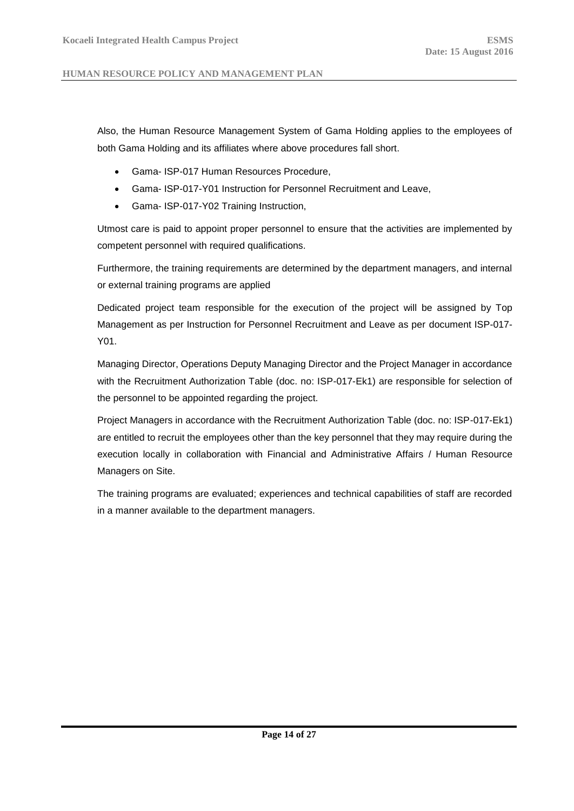Also, the Human Resource Management System of Gama Holding applies to the employees of both Gama Holding and its affiliates where above procedures fall short.

- Gama- ISP-017 Human Resources Procedure,
- Gama- ISP-017-Y01 Instruction for Personnel Recruitment and Leave,
- Gama- ISP-017-Y02 Training Instruction,

Utmost care is paid to appoint proper personnel to ensure that the activities are implemented by competent personnel with required qualifications.

Furthermore, the training requirements are determined by the department managers, and internal or external training programs are applied

Dedicated project team responsible for the execution of the project will be assigned by Top Management as per Instruction for Personnel Recruitment and Leave as per document ISP-017- Y01.

Managing Director, Operations Deputy Managing Director and the Project Manager in accordance with the Recruitment Authorization Table (doc. no: ISP-017-Ek1) are responsible for selection of the personnel to be appointed regarding the project.

Project Managers in accordance with the Recruitment Authorization Table (doc. no: ISP-017-Ek1) are entitled to recruit the employees other than the key personnel that they may require during the execution locally in collaboration with Financial and Administrative Affairs / Human Resource Managers on Site.

The training programs are evaluated; experiences and technical capabilities of staff are recorded in a manner available to the department managers.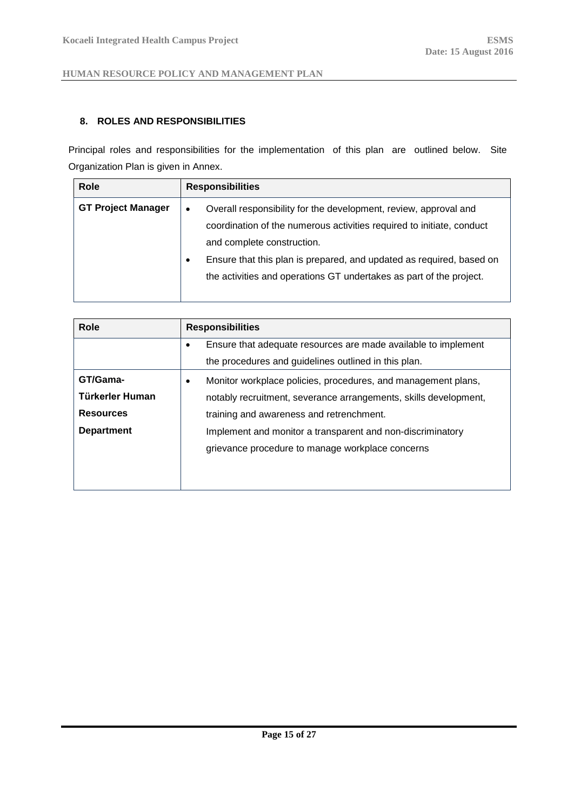### <span id="page-14-0"></span>**8. ROLES AND RESPONSIBILITIES**

Principal roles and responsibilities for the implementation of this plan are outlined below. Site Organization Plan is given in Annex.

| <b>Role</b>               | <b>Responsibilities</b>                                                                                                                                                                                                                                                                                                                          |  |  |  |
|---------------------------|--------------------------------------------------------------------------------------------------------------------------------------------------------------------------------------------------------------------------------------------------------------------------------------------------------------------------------------------------|--|--|--|
| <b>GT Project Manager</b> | Overall responsibility for the development, review, approval and<br>$\bullet$<br>coordination of the numerous activities required to initiate, conduct<br>and complete construction.<br>Ensure that this plan is prepared, and updated as required, based on<br>$\bullet$<br>the activities and operations GT undertakes as part of the project. |  |  |  |

| <b>Role</b>       | <b>Responsibilities</b>                                                    |  |  |  |  |
|-------------------|----------------------------------------------------------------------------|--|--|--|--|
|                   | Ensure that adequate resources are made available to implement<br>٠        |  |  |  |  |
|                   | the procedures and guidelines outlined in this plan.                       |  |  |  |  |
| GT/Gama-          | Monitor workplace policies, procedures, and management plans,<br>$\bullet$ |  |  |  |  |
| Türkerler Human   | notably recruitment, severance arrangements, skills development,           |  |  |  |  |
| <b>Resources</b>  | training and awareness and retrenchment.                                   |  |  |  |  |
| <b>Department</b> | Implement and monitor a transparent and non-discriminatory                 |  |  |  |  |
|                   | grievance procedure to manage workplace concerns                           |  |  |  |  |
|                   |                                                                            |  |  |  |  |
|                   |                                                                            |  |  |  |  |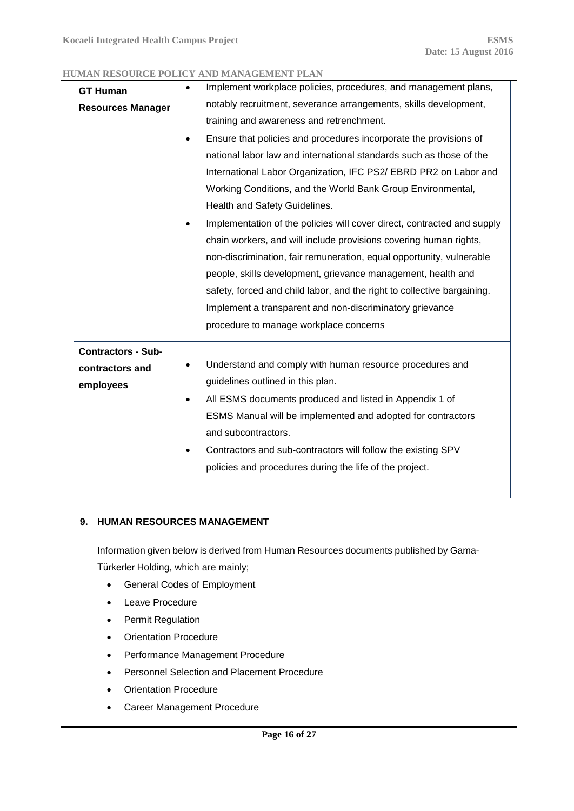| <b>GT Human</b>           | $\bullet$ | Implement workplace policies, procedures, and management plans,         |  |  |  |  |
|---------------------------|-----------|-------------------------------------------------------------------------|--|--|--|--|
| <b>Resources Manager</b>  |           | notably recruitment, severance arrangements, skills development,        |  |  |  |  |
|                           |           | training and awareness and retrenchment.                                |  |  |  |  |
|                           | $\bullet$ | Ensure that policies and procedures incorporate the provisions of       |  |  |  |  |
|                           |           | national labor law and international standards such as those of the     |  |  |  |  |
|                           |           | International Labor Organization, IFC PS2/EBRD PR2 on Labor and         |  |  |  |  |
|                           |           | Working Conditions, and the World Bank Group Environmental,             |  |  |  |  |
|                           |           | Health and Safety Guidelines.                                           |  |  |  |  |
|                           |           | Implementation of the policies will cover direct, contracted and supply |  |  |  |  |
|                           |           | chain workers, and will include provisions covering human rights,       |  |  |  |  |
|                           |           | non-discrimination, fair remuneration, equal opportunity, vulnerable    |  |  |  |  |
|                           |           | people, skills development, grievance management, health and            |  |  |  |  |
|                           |           | safety, forced and child labor, and the right to collective bargaining. |  |  |  |  |
|                           |           | Implement a transparent and non-discriminatory grievance                |  |  |  |  |
|                           |           | procedure to manage workplace concerns                                  |  |  |  |  |
| <b>Contractors - Sub-</b> |           |                                                                         |  |  |  |  |
| contractors and           | $\bullet$ | Understand and comply with human resource procedures and                |  |  |  |  |
| employees                 |           | guidelines outlined in this plan.                                       |  |  |  |  |
|                           | $\bullet$ | All ESMS documents produced and listed in Appendix 1 of                 |  |  |  |  |
|                           |           | ESMS Manual will be implemented and adopted for contractors             |  |  |  |  |
|                           |           | and subcontractors.                                                     |  |  |  |  |
|                           | $\bullet$ | Contractors and sub-contractors will follow the existing SPV            |  |  |  |  |
|                           |           | policies and procedures during the life of the project.                 |  |  |  |  |
|                           |           |                                                                         |  |  |  |  |

## <span id="page-15-0"></span>**9. HUMAN RESOURCES MANAGEMENT**

Information given below is derived from Human Resources documents published by Gama-Türkerler Holding, which are mainly;

- General Codes of Employment
- Leave Procedure
- Permit Regulation
- Orientation Procedure
- Performance Management Procedure
- **•** Personnel Selection and Placement Procedure
- Orientation Procedure
- Career Management Procedure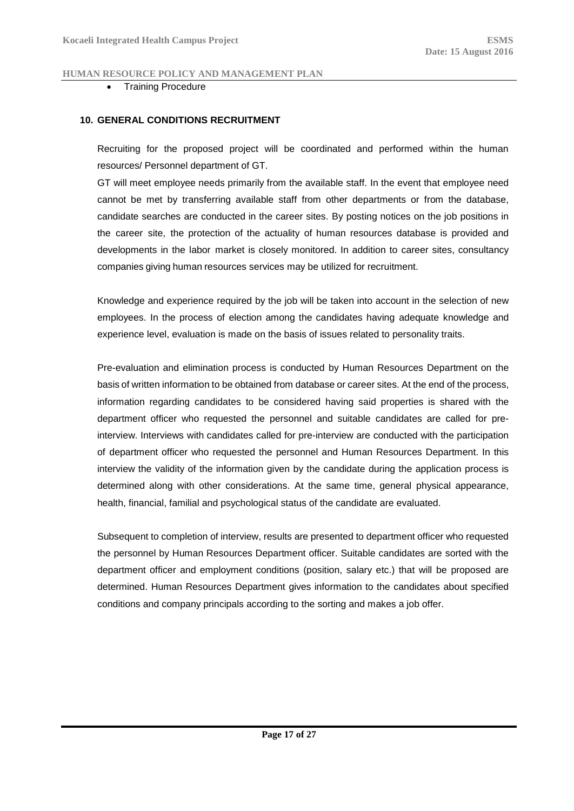### Training Procedure

### <span id="page-16-0"></span>**10. GENERAL CONDITIONS RECRUITMENT**

Recruiting for the proposed project will be coordinated and performed within the human resources/ Personnel department of GT.

GT will meet employee needs primarily from the available staff. In the event that employee need cannot be met by transferring available staff from other departments or from the database, candidate searches are conducted in the career sites. By posting notices on the job positions in the career site, the protection of the actuality of human resources database is provided and developments in the labor market is closely monitored. In addition to career sites, consultancy companies giving human resources services may be utilized for recruitment.

Knowledge and experience required by the job will be taken into account in the selection of new employees. In the process of election among the candidates having adequate knowledge and experience level, evaluation is made on the basis of issues related to personality traits.

Pre-evaluation and elimination process is conducted by Human Resources Department on the basis of written information to be obtained from database or career sites. At the end of the process, information regarding candidates to be considered having said properties is shared with the department officer who requested the personnel and suitable candidates are called for preinterview. Interviews with candidates called for pre-interview are conducted with the participation of department officer who requested the personnel and Human Resources Department. In this interview the validity of the information given by the candidate during the application process is determined along with other considerations. At the same time, general physical appearance, health, financial, familial and psychological status of the candidate are evaluated.

Subsequent to completion of interview, results are presented to department officer who requested the personnel by Human Resources Department officer. Suitable candidates are sorted with the department officer and employment conditions (position, salary etc.) that will be proposed are determined. Human Resources Department gives information to the candidates about specified conditions and company principals according to the sorting and makes a job offer.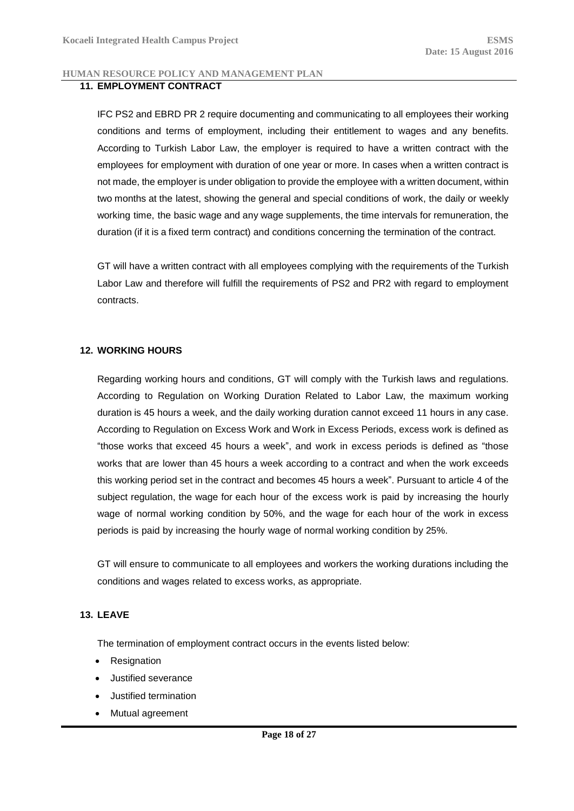### <span id="page-17-0"></span>**11. EMPLOYMENT CONTRACT**

IFC PS2 and EBRD PR 2 require documenting and communicating to all employees their working conditions and terms of employment, including their entitlement to wages and any benefits. According to Turkish Labor Law, the employer is required to have a written contract with the employees for employment with duration of one year or more. In cases when a written contract is not made, the employer is under obligation to provide the employee with a written document, within two months at the latest, showing the general and special conditions of work, the daily or weekly working time, the basic wage and any wage supplements, the time intervals for remuneration, the duration (if it is a fixed term contract) and conditions concerning the termination of the contract.

GT will have a written contract with all employees complying with the requirements of the Turkish Labor Law and therefore will fulfill the requirements of PS2 and PR2 with regard to employment contracts.

### <span id="page-17-1"></span>**12. WORKING HOURS**

Regarding working hours and conditions, GT will comply with the Turkish laws and regulations. According to Regulation on Working Duration Related to Labor Law, the maximum working duration is 45 hours a week, and the daily working duration cannot exceed 11 hours in any case. According to Regulation on Excess Work and Work in Excess Periods, excess work is defined as "those works that exceed 45 hours a week", and work in excess periods is defined as "those works that are lower than 45 hours a week according to a contract and when the work exceeds this working period set in the contract and becomes 45 hours a week". Pursuant to article 4 of the subject regulation, the wage for each hour of the excess work is paid by increasing the hourly wage of normal working condition by 50%, and the wage for each hour of the work in excess periods is paid by increasing the hourly wage of normal working condition by 25%.

GT will ensure to communicate to all employees and workers the working durations including the conditions and wages related to excess works, as appropriate.

### <span id="page-17-2"></span>**13. LEAVE**

The termination of employment contract occurs in the events listed below:

- Resignation
- Justified severance
- Justified termination
- Mutual agreement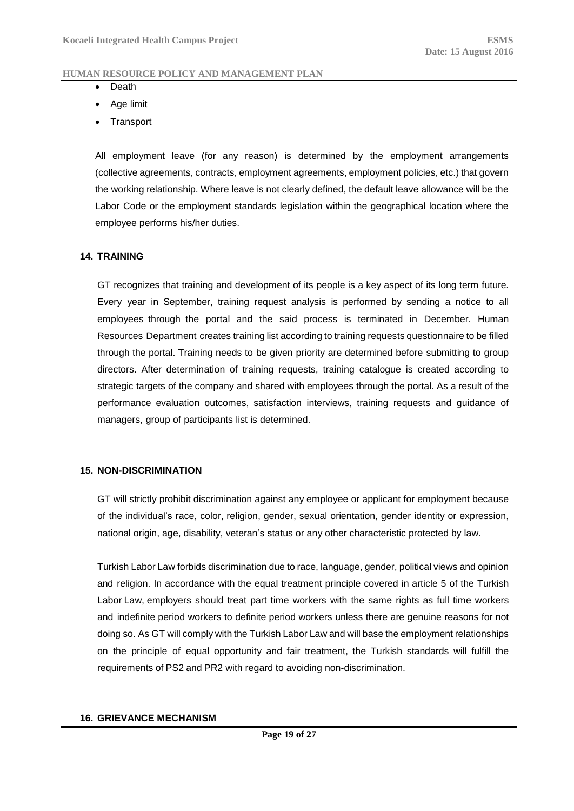- Death
- Age limit
- **Transport**

All employment leave (for any reason) is determined by the employment arrangements (collective agreements, contracts, employment agreements, employment policies, etc.) that govern the working relationship. Where leave is not clearly defined, the default leave allowance will be the Labor Code or the employment standards legislation within the geographical location where the employee performs his/her duties.

### <span id="page-18-0"></span>**14. TRAINING**

GT recognizes that training and development of its people is a key aspect of its long term future. Every year in September, training request analysis is performed by sending a notice to all employees through the portal and the said process is terminated in December. Human Resources Department creates training list according to training requests questionnaire to be filled through the portal. Training needs to be given priority are determined before submitting to group directors. After determination of training requests, training catalogue is created according to strategic targets of the company and shared with employees through the portal. As a result of the performance evaluation outcomes, satisfaction interviews, training requests and guidance of managers, group of participants list is determined.

### <span id="page-18-1"></span>**15. NON-DISCRIMINATION**

GT will strictly prohibit discrimination against any employee or applicant for employment because of the individual's race, color, religion, gender, sexual orientation, gender identity or expression, national origin, age, disability, veteran's status or any other characteristic protected by law.

Turkish Labor Law forbids discrimination due to race, language, gender, political views and opinion and religion. In accordance with the equal treatment principle covered in article 5 of the Turkish Labor Law, employers should treat part time workers with the same rights as full time workers and indefinite period workers to definite period workers unless there are genuine reasons for not doing so. As GT will comply with the Turkish Labor Law and will base the employment relationships on the principle of equal opportunity and fair treatment, the Turkish standards will fulfill the requirements of PS2 and PR2 with regard to avoiding non-discrimination.

#### <span id="page-18-2"></span>**16. GRIEVANCE MECHANISM**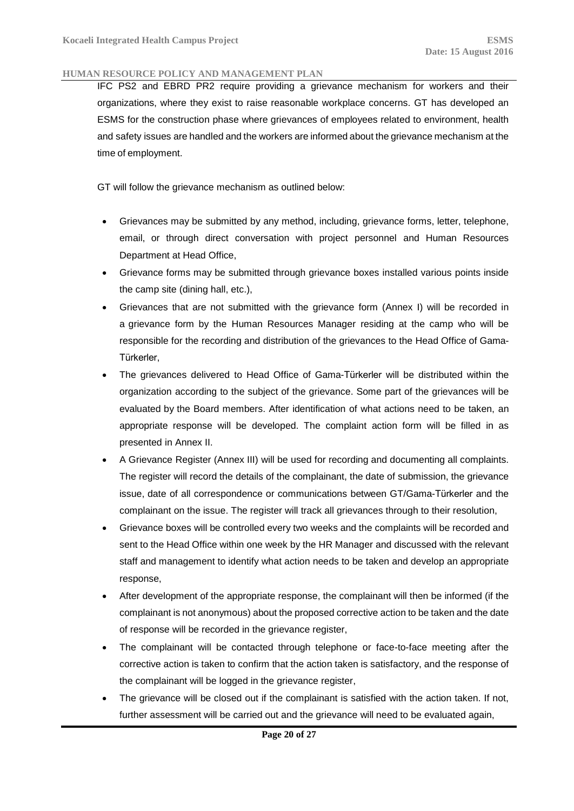IFC PS2 and EBRD PR2 require providing a grievance mechanism for workers and their organizations, where they exist to raise reasonable workplace concerns. GT has developed an ESMS for the construction phase where grievances of employees related to environment, health and safety issues are handled and the workers are informed about the grievance mechanism at the time of employment.

GT will follow the grievance mechanism as outlined below:

- Grievances may be submitted by any method, including, grievance forms, letter, telephone, email, or through direct conversation with project personnel and Human Resources Department at Head Office,
- Grievance forms may be submitted through grievance boxes installed various points inside the camp site (dining hall, etc.),
- Grievances that are not submitted with the grievance form (Annex I) will be recorded in a grievance form by the Human Resources Manager residing at the camp who will be responsible for the recording and distribution of the grievances to the Head Office of Gama-Türkerler,
- The grievances delivered to Head Office of Gama-Türkerler will be distributed within the organization according to the subject of the grievance. Some part of the grievances will be evaluated by the Board members. After identification of what actions need to be taken, an appropriate response will be developed. The complaint action form will be filled in as presented in Annex II.
- A Grievance Register (Annex III) will be used for recording and documenting all complaints. The register will record the details of the complainant, the date of submission, the grievance issue, date of all correspondence or communications between GT/Gama-Türkerler and the complainant on the issue. The register will track all grievances through to their resolution,
- Grievance boxes will be controlled every two weeks and the complaints will be recorded and sent to the Head Office within one week by the HR Manager and discussed with the relevant staff and management to identify what action needs to be taken and develop an appropriate response,
- After development of the appropriate response, the complainant will then be informed (if the complainant is not anonymous) about the proposed corrective action to be taken and the date of response will be recorded in the grievance register,
- The complainant will be contacted through telephone or face-to-face meeting after the corrective action is taken to confirm that the action taken is satisfactory, and the response of the complainant will be logged in the grievance register,
- The grievance will be closed out if the complainant is satisfied with the action taken. If not, further assessment will be carried out and the grievance will need to be evaluated again,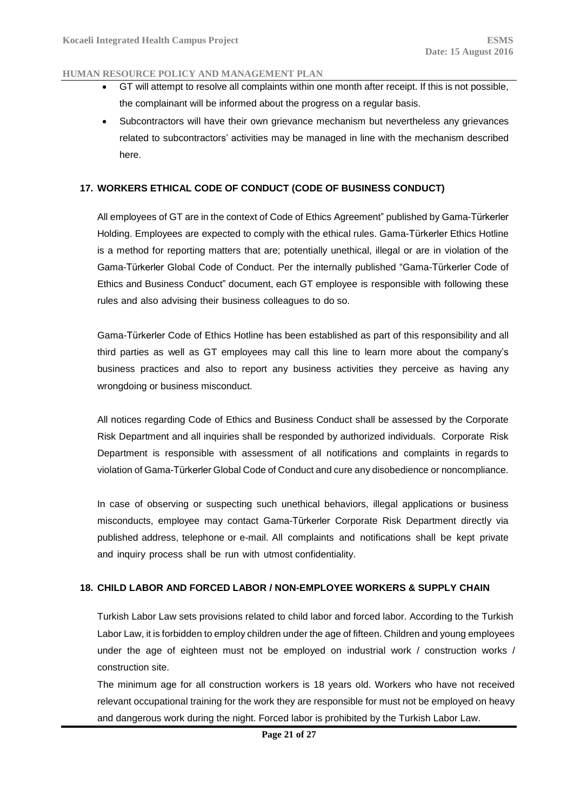- GT will attempt to resolve all complaints within one month after receipt. If this is not possible, the complainant will be informed about the progress on a regular basis.
- Subcontractors will have their own grievance mechanism but nevertheless any grievances related to subcontractors' activities may be managed in line with the mechanism described here.

### <span id="page-20-0"></span>**17. WORKERS ETHICAL CODE OF CONDUCT (CODE OF BUSINESS CONDUCT)**

All employees of GT are in the context of Code of Ethics Agreement" published by Gama-Türkerler Holding. Employees are expected to comply with the ethical rules. Gama-Türkerler Ethics Hotline is a method for reporting matters that are; potentially unethical, illegal or are in violation of the Gama-Türkerler Global Code of Conduct. Per the internally published "Gama-Türkerler Code of Ethics and Business Conduct" document, each GT employee is responsible with following these rules and also advising their business colleagues to do so.

Gama-Türkerler Code of Ethics Hotline has been established as part of this responsibility and all third parties as well as GT employees may call this line to learn more about the company's business practices and also to report any business activities they perceive as having any wrongdoing or business misconduct.

All notices regarding Code of Ethics and Business Conduct shall be assessed by the Corporate Risk Department and all inquiries shall be responded by authorized individuals. Corporate Risk Department is responsible with assessment of all notifications and complaints in regards to violation of Gama-Türkerler Global Code of Conduct and cure any disobedience or noncompliance.

In case of observing or suspecting such unethical behaviors, illegal applications or business misconducts, employee may contact Gama-Türkerler Corporate Risk Department directly via published address, telephone or e-mail. All complaints and notifications shall be kept private and inquiry process shall be run with utmost confidentiality.

### <span id="page-20-1"></span>**18. CHILD LABOR AND FORCED LABOR / NON-EMPLOYEE WORKERS & SUPPLY CHAIN**

Turkish Labor Law sets provisions related to child labor and forced labor. According to the Turkish Labor Law, it is forbidden to employ children under the age of fifteen. Children and young employees under the age of eighteen must not be employed on industrial work / construction works / construction site.

The minimum age for all construction workers is 18 years old. Workers who have not received relevant occupational training for the work they are responsible for must not be employed on heavy and dangerous work during the night. Forced labor is prohibited by the Turkish Labor Law.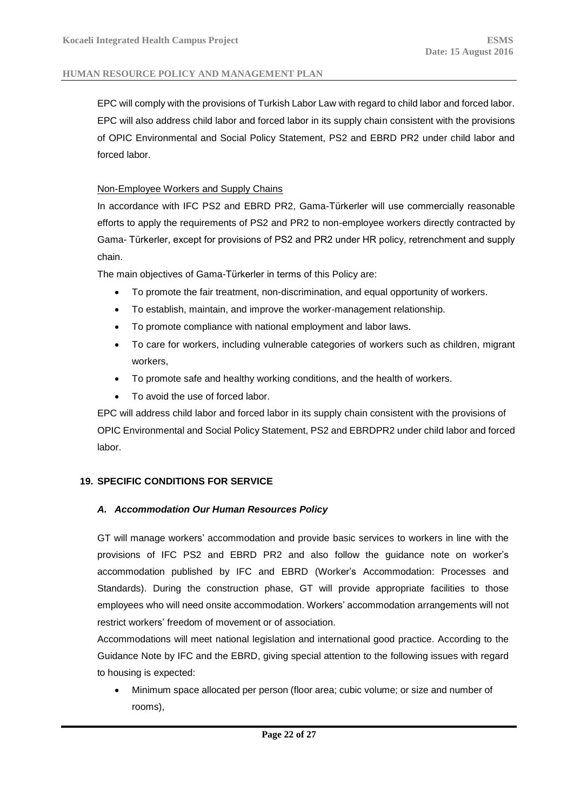EPC will comply with the provisions of Turkish Labor Law with regard to child labor and forced labor. EPC will also address child labor and forced labor in its supply chain consistent with the provisions of OPIC Environmental and Social Policy Statement, PS2 and EBRD PR2 under child labor and forced labor.

### Non-Employee Workers and Supply Chains

In accordance with IFC PS2 and EBRD PR2, Gama-Türkerler will use commercially reasonable efforts to apply the requirements of PS2 and PR2 to non-employee workers directly contracted by Gama- Türkerler, except for provisions of PS2 and PR2 under HR policy, retrenchment and supply chain.

The main objectives of Gama-Türkerler in terms of this Policy are:

- To promote the fair treatment, non-discrimination, and equal opportunity of workers.
- To establish, maintain, and improve the worker-management relationship.
- To promote compliance with national employment and labor laws.
- To care for workers, including vulnerable categories of workers such as children, migrant workers,
- To promote safe and healthy working conditions, and the health of workers.
- To avoid the use of forced labor.

EPC will address child labor and forced labor in its supply chain consistent with the provisions of OPIC Environmental and Social Policy Statement, PS2 and EBRDPR2 under child labor and forced labor.

## <span id="page-21-1"></span><span id="page-21-0"></span>**19. SPECIFIC CONDITIONS FOR SERVICE**

## *A. Accommodation Our Human Resources Policy*

GT will manage workers' accommodation and provide basic services to workers in line with the provisions of IFC PS2 and EBRD PR2 and also follow the guidance note on worker's accommodation published by IFC and EBRD (Worker's Accommodation: Processes and Standards). During the construction phase, GT will provide appropriate facilities to those employees who will need onsite accommodation. Workers' accommodation arrangements will not restrict workers' freedom of movement or of association.

Accommodations will meet national legislation and international good practice. According to the Guidance Note by IFC and the EBRD, giving special attention to the following issues with regard to housing is expected:

 Minimum space allocated per person (floor area; cubic volume; or size and number of rooms),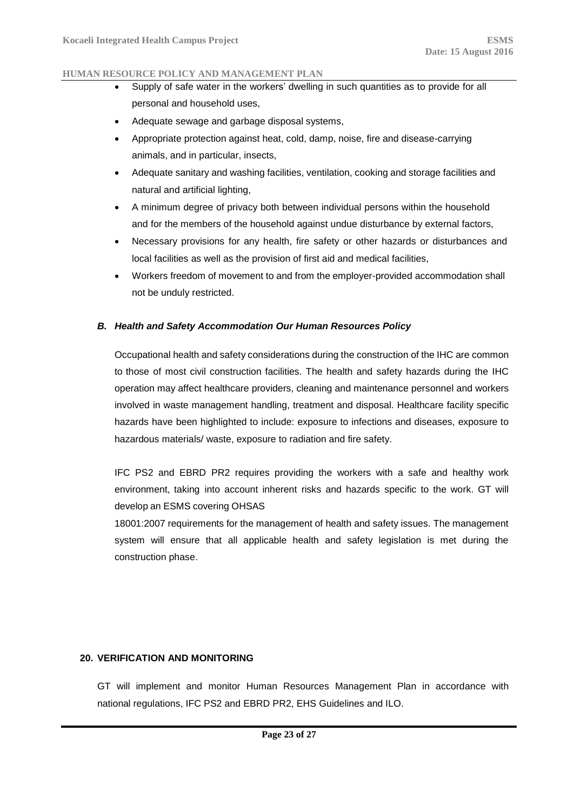- Supply of safe water in the workers' dwelling in such quantities as to provide for all personal and household uses,
- Adequate sewage and garbage disposal systems,
- Appropriate protection against heat, cold, damp, noise, fire and disease-carrying animals, and in particular, insects,
- Adequate sanitary and washing facilities, ventilation, cooking and storage facilities and natural and artificial lighting,
- A minimum degree of privacy both between individual persons within the household and for the members of the household against undue disturbance by external factors,
- Necessary provisions for any health, fire safety or other hazards or disturbances and local facilities as well as the provision of first aid and medical facilities,
- Workers freedom of movement to and from the employer-provided accommodation shall not be unduly restricted.

### <span id="page-22-0"></span>*B. Health and Safety Accommodation Our Human Resources Policy*

Occupational health and safety considerations during the construction of the IHC are common to those of most civil construction facilities. The health and safety hazards during the IHC operation may affect healthcare providers, cleaning and maintenance personnel and workers involved in waste management handling, treatment and disposal. Healthcare facility specific hazards have been highlighted to include: exposure to infections and diseases, exposure to hazardous materials/ waste, exposure to radiation and fire safety.

IFC PS2 and EBRD PR2 requires providing the workers with a safe and healthy work environment, taking into account inherent risks and hazards specific to the work. GT will develop an ESMS covering OHSAS

18001:2007 requirements for the management of health and safety issues. The management system will ensure that all applicable health and safety legislation is met during the construction phase.

### <span id="page-22-1"></span>**20. VERIFICATION AND MONITORING**

GT will implement and monitor Human Resources Management Plan in accordance with national regulations, IFC PS2 and EBRD PR2, EHS Guidelines and ILO.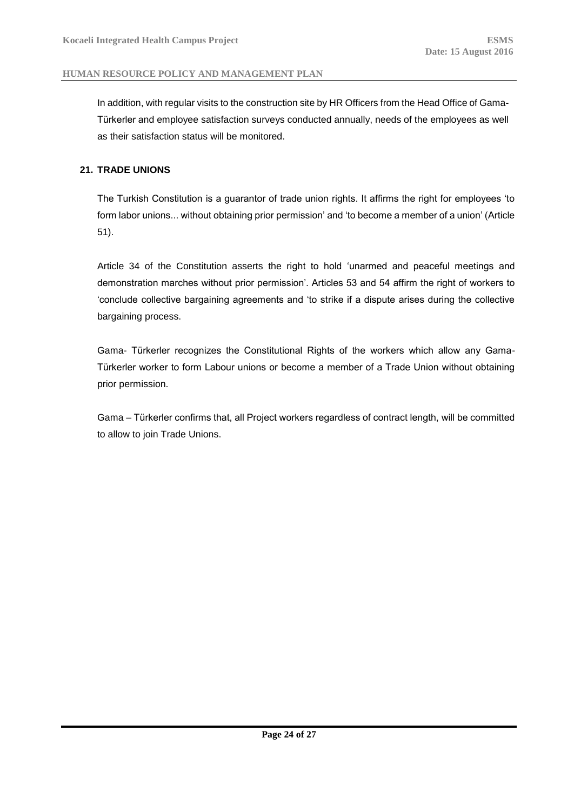In addition, with regular visits to the construction site by HR Officers from the Head Office of Gama-Türkerler and employee satisfaction surveys conducted annually, needs of the employees as well as their satisfaction status will be monitored.

### <span id="page-23-0"></span>**21. TRADE UNIONS**

The Turkish Constitution is a guarantor of trade union rights. It affirms the right for employees 'to form labor unions... without obtaining prior permission' and 'to become a member of a union' (Article 51).

Article 34 of the Constitution asserts the right to hold 'unarmed and peaceful meetings and demonstration marches without prior permission'. Articles 53 and 54 affirm the right of workers to 'conclude collective bargaining agreements and 'to strike if a dispute arises during the collective bargaining process.

Gama- Türkerler recognizes the Constitutional Rights of the workers which allow any Gama-Türkerler worker to form Labour unions or become a member of a Trade Union without obtaining prior permission.

Gama – Türkerler confirms that, all Project workers regardless of contract length, will be committed to allow to join Trade Unions.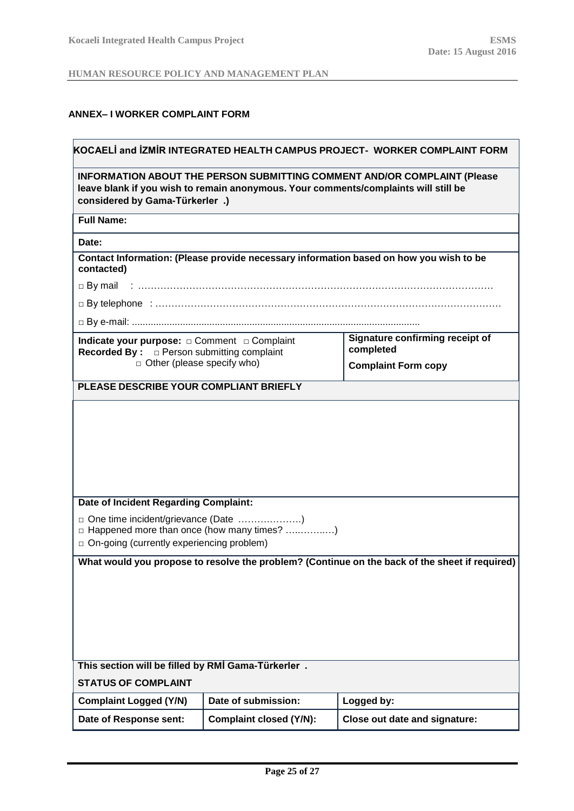## <span id="page-24-0"></span>**ANNEX– I WORKER COMPLAINT FORM**

| KOCAELI and IZMIR INTEGRATED HEALTH CAMPUS PROJECT- WORKER COMPLAINT FORM                                                                                                                                |                                                                 |                                                                                                |  |  |  |  |
|----------------------------------------------------------------------------------------------------------------------------------------------------------------------------------------------------------|-----------------------------------------------------------------|------------------------------------------------------------------------------------------------|--|--|--|--|
| <b>INFORMATION ABOUT THE PERSON SUBMITTING COMMENT AND/OR COMPLAINT (Please</b><br>leave blank if you wish to remain anonymous. Your comments/complaints will still be<br>considered by Gama-Türkerler.) |                                                                 |                                                                                                |  |  |  |  |
| <b>Full Name:</b>                                                                                                                                                                                        |                                                                 |                                                                                                |  |  |  |  |
| Date:                                                                                                                                                                                                    |                                                                 |                                                                                                |  |  |  |  |
| contacted)                                                                                                                                                                                               |                                                                 | Contact Information: (Please provide necessary information based on how you wish to be         |  |  |  |  |
| $\Box$ By mail                                                                                                                                                                                           |                                                                 |                                                                                                |  |  |  |  |
|                                                                                                                                                                                                          |                                                                 |                                                                                                |  |  |  |  |
|                                                                                                                                                                                                          |                                                                 |                                                                                                |  |  |  |  |
| Indicate your purpose: $\Box$ Comment $\Box$ Complaint<br><b>Recorded By:</b> □ Person submitting complaint                                                                                              |                                                                 | Signature confirming receipt of<br>completed                                                   |  |  |  |  |
| $\Box$ Other (please specify who)                                                                                                                                                                        |                                                                 | <b>Complaint Form copy</b>                                                                     |  |  |  |  |
| PLEASE DESCRIBE YOUR COMPLIANT BRIEFLY                                                                                                                                                                   |                                                                 |                                                                                                |  |  |  |  |
| Date of Incident Regarding Complaint:                                                                                                                                                                    |                                                                 |                                                                                                |  |  |  |  |
| o On-going (currently experiencing problem)                                                                                                                                                              | □ Happened more than once (how many times? )                    |                                                                                                |  |  |  |  |
|                                                                                                                                                                                                          |                                                                 | What would you propose to resolve the problem? (Continue on the back of the sheet if required) |  |  |  |  |
|                                                                                                                                                                                                          |                                                                 |                                                                                                |  |  |  |  |
| This section will be filled by RMİ Gama-Türkerler.                                                                                                                                                       |                                                                 |                                                                                                |  |  |  |  |
| <b>STATUS OF COMPLAINT</b>                                                                                                                                                                               |                                                                 |                                                                                                |  |  |  |  |
| Date of submission:<br><b>Complaint Logged (Y/N)</b><br>Logged by:                                                                                                                                       |                                                                 |                                                                                                |  |  |  |  |
| Date of Response sent:                                                                                                                                                                                   | <b>Complaint closed (Y/N):</b><br>Close out date and signature: |                                                                                                |  |  |  |  |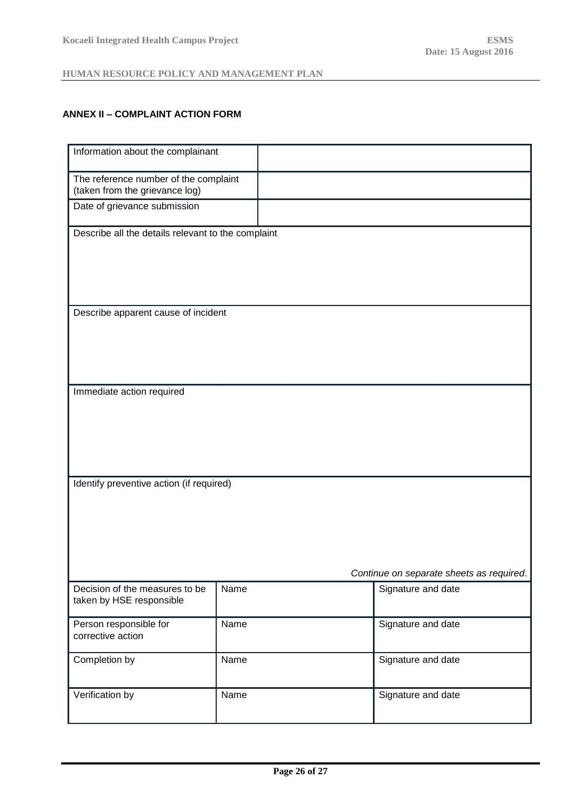## <span id="page-25-0"></span>**ANNEX II – COMPLAINT ACTION FORM**

| Information about the complainant                                       |      |                                                                |  |  |
|-------------------------------------------------------------------------|------|----------------------------------------------------------------|--|--|
| The reference number of the complaint<br>(taken from the grievance log) |      |                                                                |  |  |
| Date of grievance submission                                            |      |                                                                |  |  |
| Describe all the details relevant to the complaint                      |      |                                                                |  |  |
|                                                                         |      |                                                                |  |  |
|                                                                         |      |                                                                |  |  |
| Describe apparent cause of incident                                     |      |                                                                |  |  |
|                                                                         |      |                                                                |  |  |
|                                                                         |      |                                                                |  |  |
| Immediate action required                                               |      |                                                                |  |  |
|                                                                         |      |                                                                |  |  |
|                                                                         |      |                                                                |  |  |
| Identify preventive action (if required)                                |      |                                                                |  |  |
|                                                                         |      |                                                                |  |  |
|                                                                         |      |                                                                |  |  |
|                                                                         |      |                                                                |  |  |
| Decision of the measures to be                                          | Name | Continue on separate sheets as required.<br>Signature and date |  |  |
| taken by HSE responsible                                                |      |                                                                |  |  |
| Person responsible for<br>corrective action                             | Name | Signature and date                                             |  |  |
| Completion by                                                           | Name | Signature and date                                             |  |  |
| Verification by                                                         | Name | Signature and date                                             |  |  |